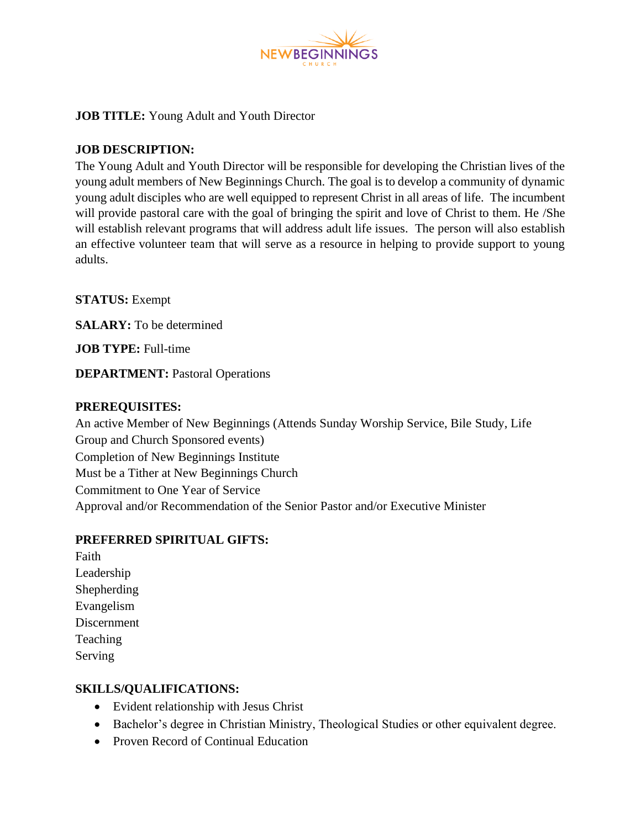

## **JOB TITLE:** Young Adult and Youth Director

#### **JOB DESCRIPTION:**

The Young Adult and Youth Director will be responsible for developing the Christian lives of the young adult members of New Beginnings Church. The goal is to develop a community of dynamic young adult disciples who are well equipped to represent Christ in all areas of life. The incumbent will provide pastoral care with the goal of bringing the spirit and love of Christ to them. He /She will establish relevant programs that will address adult life issues. The person will also establish an effective volunteer team that will serve as a resource in helping to provide support to young adults.

**STATUS:** Exempt

**SALARY:** To be determined

**JOB TYPE:** Full-time

**DEPARTMENT:** Pastoral Operations

#### **PREREQUISITES:**

An active Member of New Beginnings (Attends Sunday Worship Service, Bile Study, Life Group and Church Sponsored events) Completion of New Beginnings Institute Must be a Tither at New Beginnings Church Commitment to One Year of Service Approval and/or Recommendation of the Senior Pastor and/or Executive Minister

## **PREFERRED SPIRITUAL GIFTS:**

Faith Leadership Shepherding Evangelism Discernment Teaching Serving

#### **SKILLS/QUALIFICATIONS:**

- Evident relationship with Jesus Christ
- Bachelor's degree in Christian Ministry, Theological Studies or other equivalent degree.
- Proven Record of Continual Education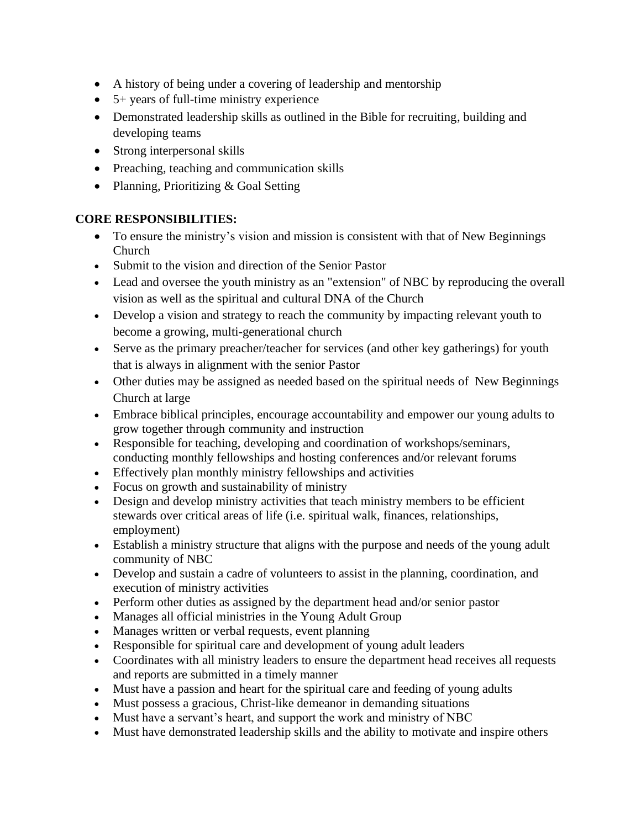- A history of being under a covering of leadership and mentorship
- 5+ years of full-time ministry experience
- Demonstrated leadership skills as outlined in the Bible for recruiting, building and developing teams
- Strong interpersonal skills
- Preaching, teaching and communication skills
- Planning, Prioritizing & Goal Setting

# **CORE RESPONSIBILITIES:**

- To ensure the ministry's vision and mission is consistent with that of New Beginnings Church
- Submit to the vision and direction of the Senior Pastor
- Lead and oversee the youth ministry as an "extension" of NBC by reproducing the overall vision as well as the spiritual and cultural DNA of the Church
- Develop a vision and strategy to reach the community by impacting relevant youth to become a growing, multi-generational church
- Serve as the primary preacher/teacher for services (and other key gatherings) for youth that is always in alignment with the senior Pastor
- Other duties may be assigned as needed based on the spiritual needs of New Beginnings Church at large
- Embrace biblical principles, encourage accountability and empower our young adults to grow together through community and instruction
- Responsible for teaching, developing and coordination of workshops/seminars, conducting monthly fellowships and hosting conferences and/or relevant forums
- Effectively plan monthly ministry fellowships and activities
- Focus on growth and sustainability of ministry
- Design and develop ministry activities that teach ministry members to be efficient stewards over critical areas of life (i.e. spiritual walk, finances, relationships, employment)
- Establish a ministry structure that aligns with the purpose and needs of the young adult community of NBC
- Develop and sustain a cadre of volunteers to assist in the planning, coordination, and execution of ministry activities
- Perform other duties as assigned by the department head and/or senior pastor
- Manages all official ministries in the Young Adult Group
- Manages written or verbal requests, event planning
- Responsible for spiritual care and development of young adult leaders
- Coordinates with all ministry leaders to ensure the department head receives all requests and reports are submitted in a timely manner
- Must have a passion and heart for the spiritual care and feeding of young adults
- Must possess a gracious, Christ-like demeanor in demanding situations
- Must have a servant's heart, and support the work and ministry of NBC
- Must have demonstrated leadership skills and the ability to motivate and inspire others